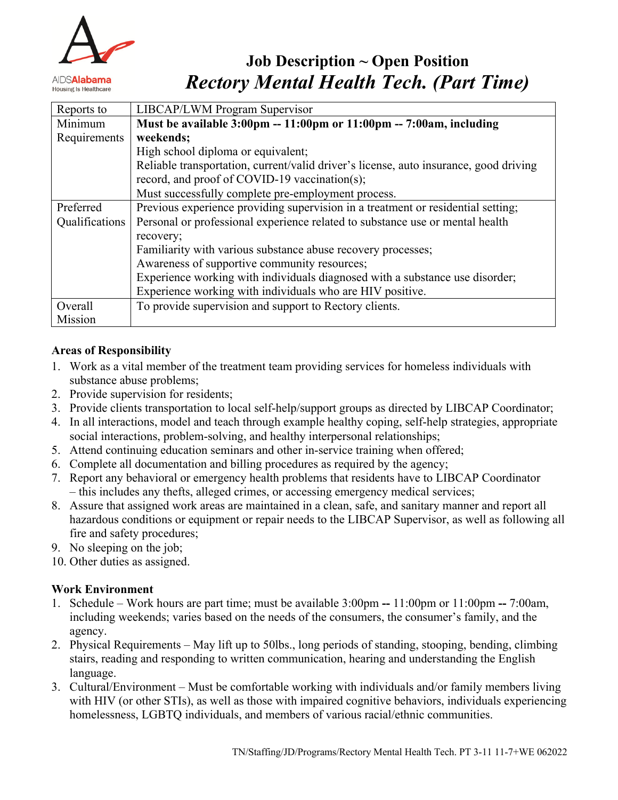

# **Job Description ~ Open Position** *Rectory Mental Health Tech. (Part Time)*

| Reports to     | LIBCAP/LWM Program Supervisor                                                                          |
|----------------|--------------------------------------------------------------------------------------------------------|
| Minimum        | Must be available $3:00 \text{pm} - 11:00 \text{pm}$ or $11:00 \text{pm} - 7:00 \text{am}$ , including |
| Requirements   | weekends;                                                                                              |
|                | High school diploma or equivalent;                                                                     |
|                | Reliable transportation, current/valid driver's license, auto insurance, good driving                  |
|                | record, and proof of COVID-19 vaccination(s);                                                          |
|                | Must successfully complete pre-employment process.                                                     |
| Preferred      | Previous experience providing supervision in a treatment or residential setting;                       |
| Qualifications | Personal or professional experience related to substance use or mental health                          |
|                | recovery;                                                                                              |
|                | Familiarity with various substance abuse recovery processes;                                           |
|                | Awareness of supportive community resources;                                                           |
|                | Experience working with individuals diagnosed with a substance use disorder;                           |
|                | Experience working with individuals who are HIV positive.                                              |
| Overall        | To provide supervision and support to Rectory clients.                                                 |
| Mission        |                                                                                                        |

## **Areas of Responsibility**

- 1. Work as a vital member of the treatment team providing services for homeless individuals with substance abuse problems;
- 2. Provide supervision for residents;
- 3. Provide clients transportation to local self-help/support groups as directed by LIBCAP Coordinator;
- 4. In all interactions, model and teach through example healthy coping, self-help strategies, appropriate social interactions, problem-solving, and healthy interpersonal relationships;
- 5. Attend continuing education seminars and other in-service training when offered;
- 6. Complete all documentation and billing procedures as required by the agency;
- 7. Report any behavioral or emergency health problems that residents have to LIBCAP Coordinator – this includes any thefts, alleged crimes, or accessing emergency medical services;
- 8. Assure that assigned work areas are maintained in a clean, safe, and sanitary manner and report all hazardous conditions or equipment or repair needs to the LIBCAP Supervisor, as well as following all fire and safety procedures;
- 9. No sleeping on the job;
- 10. Other duties as assigned.

## **Work Environment**

- 1. Schedule Work hours are part time; must be available 3:00pm **--** 11:00pm or 11:00pm **--** 7:00am, including weekends; varies based on the needs of the consumers, the consumer's family, and the agency.
- 2. Physical Requirements May lift up to 50lbs., long periods of standing, stooping, bending, climbing stairs, reading and responding to written communication, hearing and understanding the English language.
- 3. Cultural/Environment Must be comfortable working with individuals and/or family members living with HIV (or other STIs), as well as those with impaired cognitive behaviors, individuals experiencing homelessness, LGBTQ individuals, and members of various racial/ethnic communities.